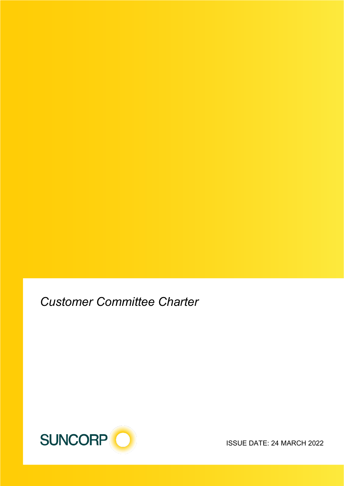*Customer Committee Charter*



ISSUE DATE: 24 MARCH 2022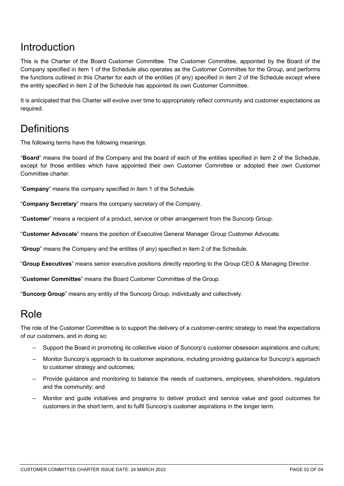### Introduction

This is the Charter of the Board Customer Committee. The Customer Committee, appointed by the Board of the Company specified in item 1 of the Schedule also operates as the Customer Committee for the Group, and performs the functions outlined in this Charter for each of the entities (if any) specified in item 2 of the Schedule except where the entity specified in item 2 of the Schedule has appointed its own Customer Committee.

It is anticipated that this Charter will evolve over time to appropriately reflect community and customer expectations as required.

### **Definitions**

The following terms have the following meanings:

"**Board**" means the board of the Company and the board of each of the entities specified in item 2 of the Schedule, except for those entities which have appointed their own Customer Committee or adopted their own Customer Committee charter.

"**Company**" means the company specified in item 1 of the Schedule.

"**Company Secretary**" means the company secretary of the Company.

"**Customer**" means a recipient of a product, service or other arrangement from the Suncorp Group.

"**Customer Advocate**" means the position of Executive General Manager Group Customer Advocate.

"**Group**" means the Company and the entities (if any) specified in item 2 of the Schedule.

"**Group Executives**" means senior executive positions directly reporting to the Group CEO & Managing Director.

"**Customer Committee**" means the Board Customer Committee of the Group.

"**Suncorp Group**" means any entity of the Suncorp Group, individually and collectively.

### Role

The role of the Customer Committee is to support the delivery of a customer-centric strategy to meet the expectations of our customers, and in doing so:

- Support the Board in promoting its collective vision of Suncorp's customer obsession aspirations and culture;
- Monitor Suncorp's approach to its customer aspirations, including providing guidance for Suncorp's approach to customer strategy and outcomes;
- Provide guidance and monitoring to balance the needs of customers, employees, shareholders, regulators and the community; and
- Monitor and guide initiatives and programs to deliver product and service value and good outcomes for customers in the short term, and to fulfil Suncorp's customer aspirations in the longer term.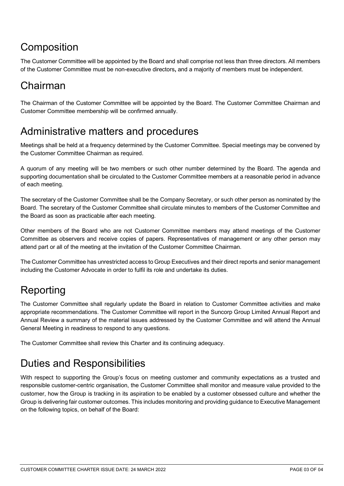## **Composition**

The Customer Committee will be appointed by the Board and shall comprise not less than three directors. All members of the Customer Committee must be non-executive directors**,** and a majority of members must be independent.

## Chairman

The Chairman of the Customer Committee will be appointed by the Board. The Customer Committee Chairman and Customer Committee membership will be confirmed annually.

## Administrative matters and procedures

Meetings shall be held at a frequency determined by the Customer Committee. Special meetings may be convened by the Customer Committee Chairman as required.

A quorum of any meeting will be two members or such other number determined by the Board. The agenda and supporting documentation shall be circulated to the Customer Committee members at a reasonable period in advance of each meeting.

The secretary of the Customer Committee shall be the Company Secretary, or such other person as nominated by the Board. The secretary of the Customer Committee shall circulate minutes to members of the Customer Committee and the Board as soon as practicable after each meeting.

Other members of the Board who are not Customer Committee members may attend meetings of the Customer Committee as observers and receive copies of papers. Representatives of management or any other person may attend part or all of the meeting at the invitation of the Customer Committee Chairman.

The Customer Committee has unrestricted access to Group Executives and their direct reports and senior management including the Customer Advocate in order to fulfil its role and undertake its duties.

# Reporting

The Customer Committee shall regularly update the Board in relation to Customer Committee activities and make appropriate recommendations. The Customer Committee will report in the Suncorp Group Limited Annual Report and Annual Review a summary of the material issues addressed by the Customer Committee and will attend the Annual General Meeting in readiness to respond to any questions.

The Customer Committee shall review this Charter and its continuing adequacy.

## Duties and Responsibilities

With respect to supporting the Group's focus on meeting customer and community expectations as a trusted and responsible customer-centric organisation, the Customer Committee shall monitor and measure value provided to the customer, how the Group is tracking in its aspiration to be enabled by a customer obsessed culture and whether the Group is delivering fair customer outcomes. This includes monitoring and providing guidance to Executive Management on the following topics, on behalf of the Board: